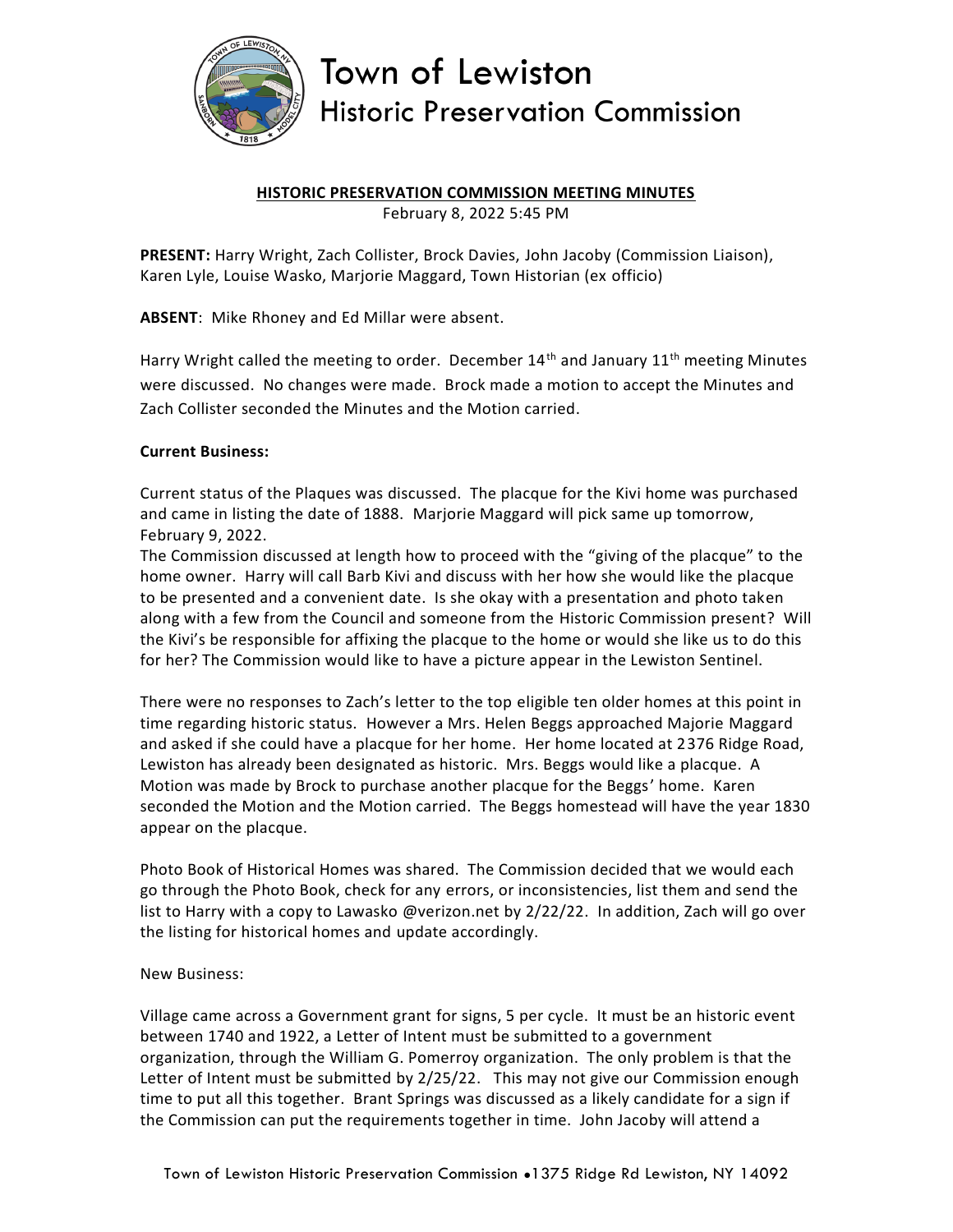

## Town of Lewiston **Historic Preservation Commission**

### **HISTORIC PRESERVATION COMMISSION MEETING MINUTES**

February 8, 2022 5:45 PM

**PRESENT:** Harry Wright, Zach Collister, Brock Davies, John Jacoby (Commission Liaison), Karen Lyle, Louise Wasko, Marjorie Maggard, Town Historian (ex officio)

**ABSENT**: Mike Rhoney and Ed Millar were absent.

Harry Wright called the meeting to order. December  $14<sup>th</sup>$  and January  $11<sup>th</sup>$  meeting Minutes were discussed. No changes were made. Brock made a motion to accept the Minutes and Zach Collister seconded the Minutes and the Motion carried.

#### **Current Business:**

Current status of the Plaques was discussed. The placque for the Kivi home was purchased and came in listing the date of 1888. Marjorie Maggard will pick same up tomorrow, February 9, 2022.

The Commission discussed at length how to proceed with the "giving of the placque" to the home owner. Harry will call Barb Kivi and discuss with her how she would like the placque to be presented and a convenient date. Is she okay with a presentation and photo taken along with a few from the Council and someone from the Historic Commission present? Will the Kivi's be responsible for affixing the placque to the home or would she like us to do this for her? The Commission would like to have a picture appear in the Lewiston Sentinel.

There were no responses to Zach's letter to the top eligible ten older homes at this point in time regarding historic status. However a Mrs. Helen Beggs approached Majorie Maggard and asked if she could have a placque for her home. Her home located at 2376 Ridge Road, Lewiston has already been designated as historic. Mrs. Beggs would like a placque. A Motion was made by Brock to purchase another placque for the Beggs' home. Karen seconded the Motion and the Motion carried. The Beggs homestead will have the year 1830 appear on the placque.

Photo Book of Historical Homes was shared. The Commission decided that we would each go through the Photo Book, check for any errors, or inconsistencies, list them and send the list to Harry with a copy to Lawasko @verizon.net by 2/22/22. In addition, Zach will go over the listing for historical homes and update accordingly.

#### New Business:

Village came across a Government grant for signs, 5 per cycle. It must be an historic event between 1740 and 1922, a Letter of Intent must be submitted to a government organization, through the William G. Pomerroy organization. The only problem is that the Letter of Intent must be submitted by 2/25/22. This may not give our Commission enough time to put all this together. Brant Springs was discussed as a likely candidate for a sign if the Commission can put the requirements together in time. John Jacoby will attend a